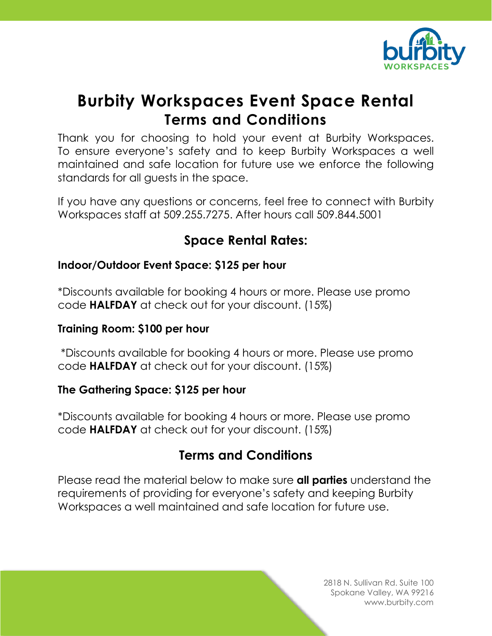

# **Burbity Workspaces Event Space Rental Terms and Conditions**

Thank you for choosing to hold your event at Burbity Workspaces. To ensure everyone's safety and to keep Burbity Workspaces a well maintained and safe location for future use we enforce the following standards for all guests in the space.

If you have any questions or concerns, feel free to connect with Burbity Workspaces staff at 509.255.7275. After hours call 509.844.5001

## **Space Rental Rates:**

### **Indoor/Outdoor Event Space: \$125 per hour**

\*Discounts available for booking 4 hours or more. Please use promo code **HALFDAY** at check out for your discount. (15%)

#### **Training Room: \$100 per hour**

\*Discounts available for booking 4 hours or more. Please use promo code **HALFDAY** at check out for your discount. (15%)

#### **The Gathering Space: \$125 per hour**

\*Discounts available for booking 4 hours or more. Please use promo code **HALFDAY** at check out for your discount. (15%)

## **Terms and Conditions**

Please read the material below to make sure **all parties** understand the requirements of providing for everyone's safety and keeping Burbity Workspaces a well maintained and safe location for future use.

> 2818 N. Sullivan Rd. Suite 100 Spokane Valley, WA 99216 www.burbity.com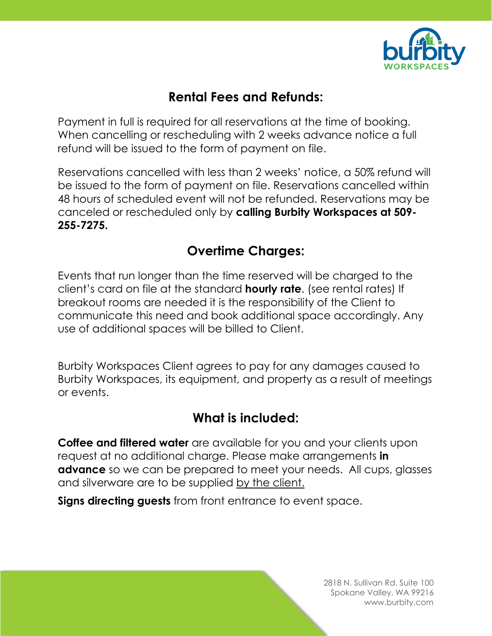

## **Rental Fees and Refunds:**

Payment in full is required for all reservations at the time of booking. When cancelling or rescheduling with 2 weeks advance notice a full refund will be issued to the form of payment on file.

Reservations cancelled with less than 2 weeks' notice, a 50% refund will be issued to the form of payment on file. Reservations cancelled within 48 hours of scheduled event will not be refunded. Reservations may be canceled or rescheduled only by **calling Burbity Workspaces at 509- 255-7275.** 

## **Overtime Charges:**

Events that run longer than the time reserved will be charged to the client's card on file at the standard **hourly rate**. (see rental rates) If breakout rooms are needed it is the responsibility of the Client to communicate this need and book additional space accordingly. Any use of additional spaces will be billed to Client.

Burbity Workspaces Client agrees to pay for any damages caused to Burbity Workspaces, its equipment, and property as a result of meetings or events.

## **What is included:**

**Coffee and filtered water** are available for you and your clients upon request at no additional charge. Please make arrangements **in advance** so we can be prepared to meet your needs. All cups, glasses and silverware are to be supplied by the client.

**Signs directing guests** from front entrance to event space.

2818 N. Sullivan Rd. Suite 100 Spokane Valley, WA 99216 www.burbity.com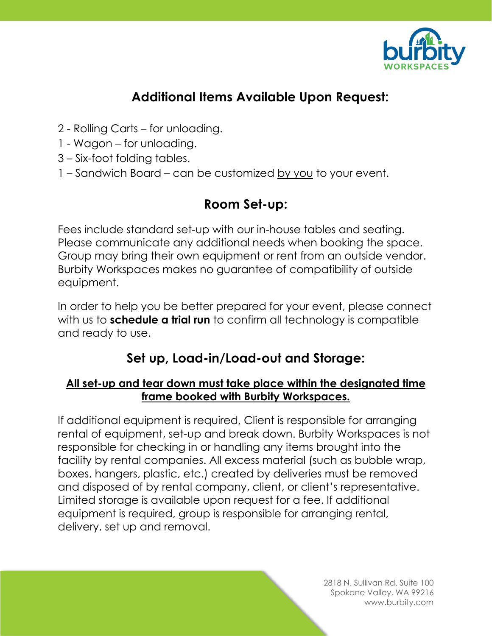

## **Additional Items Available Upon Request:**

- 2 Rolling Carts for unloading.
- 1 Wagon for unloading.
- 3 Six-foot folding tables.
- 1 Sandwich Board can be customized by you to your event.

### **Room Set-up:**

Fees include standard set-up with our in-house tables and seating. Please communicate any additional needs when booking the space. Group may bring their own equipment or rent from an outside vendor. Burbity Workspaces makes no guarantee of compatibility of outside equipment.

In order to help you be better prepared for your event, please connect with us to **schedule a trial run** to confirm all technology is compatible and ready to use.

## **Set up, Load-in/Load-out and Storage:**

#### **All set-up and tear down must take place within the designated time frame booked with Burbity Workspaces.**

If additional equipment is required, Client is responsible for arranging rental of equipment, set-up and break down. Burbity Workspaces is not responsible for checking in or handling any items brought into the facility by rental companies. All excess material (such as bubble wrap, boxes, hangers, plastic, etc.) created by deliveries must be removed and disposed of by rental company, client, or client's representative. Limited storage is available upon request for a fee. If additional equipment is required, group is responsible for arranging rental, delivery, set up and removal.

> 2818 N. Sullivan Rd. Suite 100 Spokane Valley, WA 99216 www.burbity.com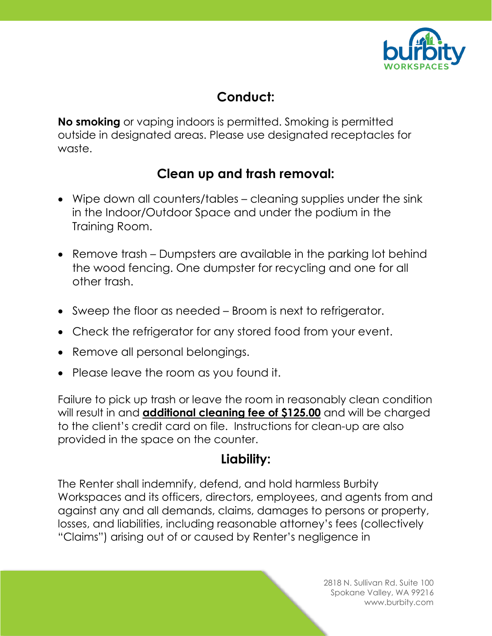

## **Conduct:**

**No smoking** or vaping indoors is permitted. Smoking is permitted outside in designated areas. Please use designated receptacles for waste.

## **Clean up and trash removal:**

- Wipe down all counters/tables cleaning supplies under the sink in the Indoor/Outdoor Space and under the podium in the Training Room.
- Remove trash Dumpsters are available in the parking lot behind the wood fencing. One dumpster for recycling and one for all other trash.
- Sweep the floor as needed Broom is next to refrigerator.
- Check the refrigerator for any stored food from your event.
- Remove all personal belongings.
- Please leave the room as you found it.

Failure to pick up trash or leave the room in reasonably clean condition will result in and **additional cleaning fee of \$125.00** and will be charged to the client's credit card on file. Instructions for clean-up are also provided in the space on the counter.

## **Liability:**

The Renter shall indemnify, defend, and hold harmless Burbity Workspaces and its officers, directors, employees, and agents from and against any and all demands, claims, damages to persons or property, losses, and liabilities, including reasonable attorney's fees (collectively "Claims") arising out of or caused by Renter's negligence in

> 2818 N. Sullivan Rd. Suite 100 Spokane Valley, WA 99216 www.burbity.com